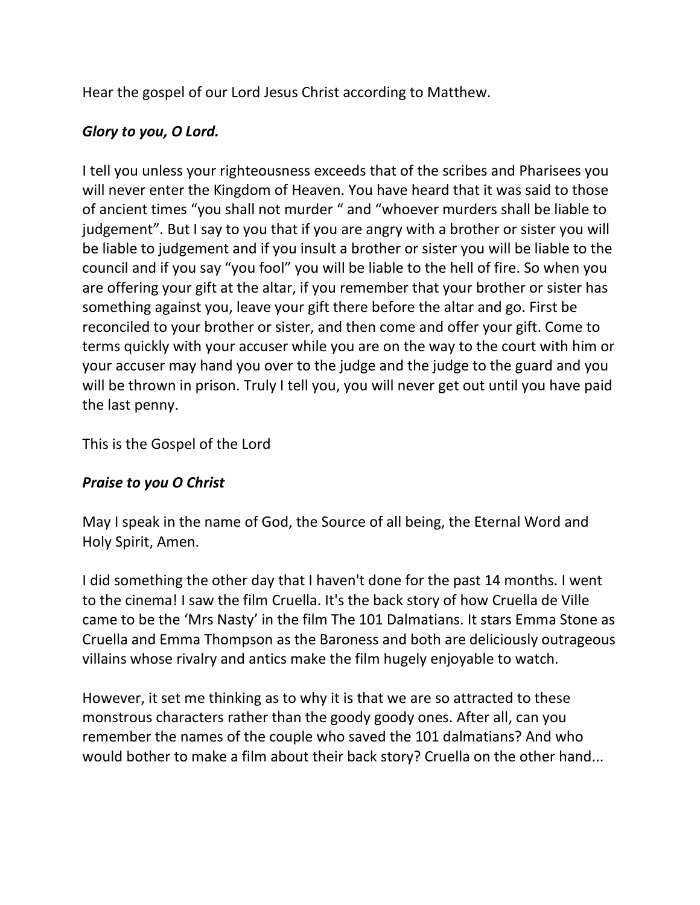Hear the gospel of our Lord Jesus Christ according to Matthew.

## *Glory to you, O Lord.*

I tell you unless your righteousness exceeds that of the scribes and Pharisees you will never enter the Kingdom of Heaven. You have heard that it was said to those of ancient times "you shall not murder " and "whoever murders shall be liable to judgement". But I say to you that if you are angry with a brother or sister you will be liable to judgement and if you insult a brother or sister you will be liable to the council and if you say "you fool" you will be liable to the hell of fire. So when you are offering your gift at the altar, if you remember that your brother or sister has something against you, leave your gift there before the altar and go. First be reconciled to your brother or sister, and then come and offer your gift. Come to terms quickly with your accuser while you are on the way to the court with him or your accuser may hand you over to the judge and the judge to the guard and you will be thrown in prison. Truly I tell you, you will never get out until you have paid the last penny.

This is the Gospel of the Lord

## *Praise to you O Christ*

May I speak in the name of God, the Source of all being, the Eternal Word and Holy Spirit, Amen.

I did something the other day that I haven't done for the past 14 months. I went to the cinema! I saw the film Cruella. It's the back story of how Cruella de Ville came to be the 'Mrs Nasty' in the film The 101 Dalmatians. It stars Emma Stone as Cruella and Emma Thompson as the Baroness and both are deliciously outrageous villains whose rivalry and antics make the film hugely enjoyable to watch.

However, it set me thinking as to why it is that we are so attracted to these monstrous characters rather than the goody goody ones. After all, can you remember the names of the couple who saved the 101 dalmatians? And who would bother to make a film about their back story? Cruella on the other hand...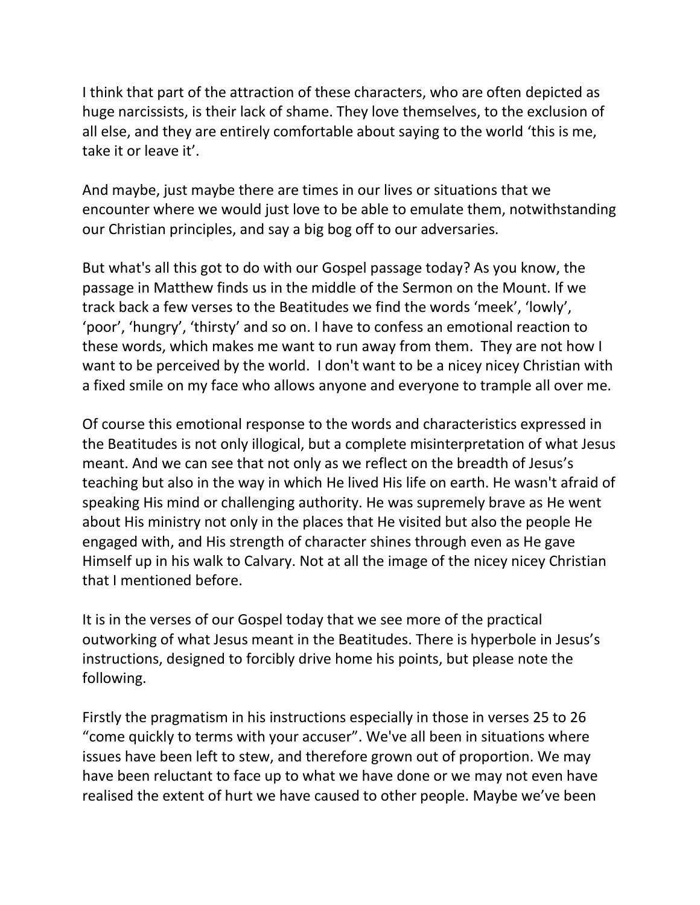I think that part of the attraction of these characters, who are often depicted as huge narcissists, is their lack of shame. They love themselves, to the exclusion of all else, and they are entirely comfortable about saying to the world 'this is me, take it or leave it'.

And maybe, just maybe there are times in our lives or situations that we encounter where we would just love to be able to emulate them, notwithstanding our Christian principles, and say a big bog off to our adversaries.

But what's all this got to do with our Gospel passage today? As you know, the passage in Matthew finds us in the middle of the Sermon on the Mount. If we track back a few verses to the Beatitudes we find the words 'meek', 'lowly', 'poor', 'hungry', 'thirsty' and so on. I have to confess an emotional reaction to these words, which makes me want to run away from them. They are not how I want to be perceived by the world. I don't want to be a nicey nicey Christian with a fixed smile on my face who allows anyone and everyone to trample all over me.

Of course this emotional response to the words and characteristics expressed in the Beatitudes is not only illogical, but a complete misinterpretation of what Jesus meant. And we can see that not only as we reflect on the breadth of Jesus's teaching but also in the way in which He lived His life on earth. He wasn't afraid of speaking His mind or challenging authority. He was supremely brave as He went about His ministry not only in the places that He visited but also the people He engaged with, and His strength of character shines through even as He gave Himself up in his walk to Calvary. Not at all the image of the nicey nicey Christian that I mentioned before.

It is in the verses of our Gospel today that we see more of the practical outworking of what Jesus meant in the Beatitudes. There is hyperbole in Jesus's instructions, designed to forcibly drive home his points, but please note the following.

Firstly the pragmatism in his instructions especially in those in verses 25 to 26 "come quickly to terms with your accuser". We've all been in situations where issues have been left to stew, and therefore grown out of proportion. We may have been reluctant to face up to what we have done or we may not even have realised the extent of hurt we have caused to other people. Maybe we've been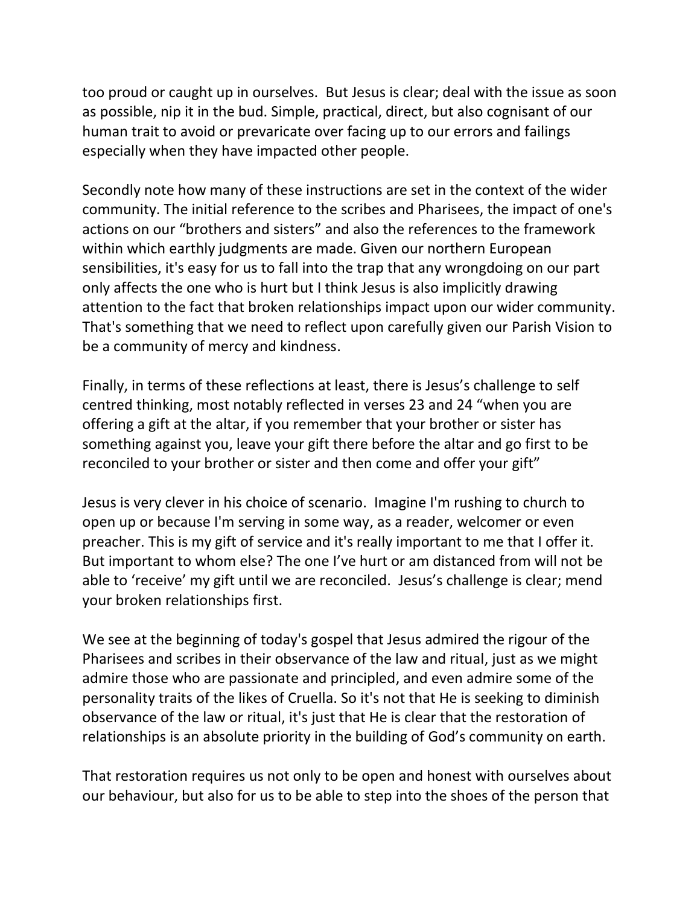too proud or caught up in ourselves. But Jesus is clear; deal with the issue as soon as possible, nip it in the bud. Simple, practical, direct, but also cognisant of our human trait to avoid or prevaricate over facing up to our errors and failings especially when they have impacted other people.

Secondly note how many of these instructions are set in the context of the wider community. The initial reference to the scribes and Pharisees, the impact of one's actions on our "brothers and sisters" and also the references to the framework within which earthly judgments are made. Given our northern European sensibilities, it's easy for us to fall into the trap that any wrongdoing on our part only affects the one who is hurt but I think Jesus is also implicitly drawing attention to the fact that broken relationships impact upon our wider community. That's something that we need to reflect upon carefully given our Parish Vision to be a community of mercy and kindness.

Finally, in terms of these reflections at least, there is Jesus's challenge to self centred thinking, most notably reflected in verses 23 and 24 "when you are offering a gift at the altar, if you remember that your brother or sister has something against you, leave your gift there before the altar and go first to be reconciled to your brother or sister and then come and offer your gift"

Jesus is very clever in his choice of scenario. Imagine I'm rushing to church to open up or because I'm serving in some way, as a reader, welcomer or even preacher. This is my gift of service and it's really important to me that I offer it. But important to whom else? The one I've hurt or am distanced from will not be able to 'receive' my gift until we are reconciled. Jesus's challenge is clear; mend your broken relationships first.

We see at the beginning of today's gospel that Jesus admired the rigour of the Pharisees and scribes in their observance of the law and ritual, just as we might admire those who are passionate and principled, and even admire some of the personality traits of the likes of Cruella. So it's not that He is seeking to diminish observance of the law or ritual, it's just that He is clear that the restoration of relationships is an absolute priority in the building of God's community on earth.

That restoration requires us not only to be open and honest with ourselves about our behaviour, but also for us to be able to step into the shoes of the person that